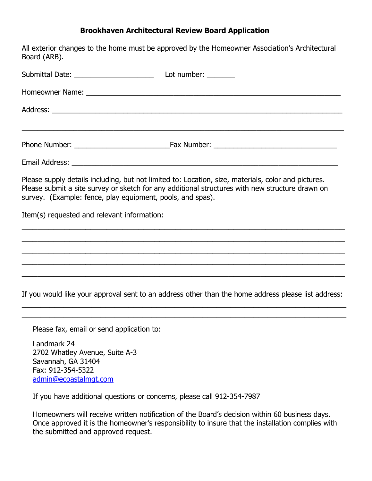### Brookhaven Architectural Review Board Application

All exterior changes to the home must be approved by the Homeowner Association's Architectural Board (ARB). Submittal Date: example and the Lot number: Homeowner Name:  $\Box$ Address: \_\_\_\_\_\_\_\_\_\_\_\_\_\_\_\_\_\_\_\_\_\_\_\_\_\_\_\_\_\_\_\_\_\_\_\_\_\_\_\_\_\_\_\_\_\_\_\_\_\_\_\_\_\_\_\_\_\_\_\_\_\_\_\_\_\_\_\_\_\_\_\_\_ \_\_\_\_\_\_\_\_\_\_\_\_\_\_\_\_\_\_\_\_\_\_\_\_\_\_\_\_\_\_\_\_\_\_\_\_\_\_\_\_\_\_\_\_\_\_\_\_\_\_\_\_\_\_\_\_\_\_\_\_\_\_\_\_\_\_\_\_\_\_\_\_\_\_\_\_\_\_\_\_\_ Phone Number: The Communication of the Fax Number:  $\sum_{i=1}^{n}$  Fax Number: Email Address: \_\_\_\_\_\_\_\_\_\_\_\_\_\_\_\_\_\_\_\_\_\_\_\_\_\_\_\_\_\_\_\_\_\_\_\_\_\_\_\_\_\_\_\_\_\_\_\_\_\_\_\_\_\_\_\_\_\_\_\_\_\_\_\_\_\_\_ Please supply details including, but not limited to: Location, size, materials, color and pictures. Please submit a site survey or sketch for any additional structures with new structure drawn on survey. (Example: fence, play equipment, pools, and spas). Item(s) requested and relevant information:  $\overline{\phantom{a}}$  , and the contribution of the contribution of the contribution of the contribution of the contribution of the contribution of the contribution of the contribution of the contribution of the contribution of the  $\_$  , and the set of the set of the set of the set of the set of the set of the set of the set of the set of the set of the set of the set of the set of the set of the set of the set of the set of the set of the set of th  $\overline{\phantom{a}}$  , and the contribution of the contribution of the contribution of the contribution of the contribution of the contribution of the contribution of the contribution of the contribution of the contribution of the  $\overline{\phantom{a}}$  , and the contribution of the contribution of the contribution of the contribution of the contribution of the contribution of the contribution of the contribution of the contribution of the contribution of the  $\overline{\phantom{a}}$  , and the contribution of the contribution of the contribution of the contribution of the contribution of the contribution of the contribution of the contribution of the contribution of the contribution of the If you would like your approval sent to an address other than the home address please list address: \_\_\_\_\_\_\_\_\_\_\_\_\_\_\_\_\_\_\_\_\_\_\_\_\_\_\_\_\_\_\_\_\_\_\_\_\_\_\_\_\_\_\_\_\_\_\_\_\_\_\_\_\_\_\_\_\_\_\_\_\_\_\_\_\_\_\_\_\_\_  $\_$  , and the set of the set of the set of the set of the set of the set of the set of the set of the set of the set of the set of the set of the set of the set of the set of the set of the set of the set of the set of th

Please fax, email or send application to:

Landmark 24 2702 Whatley Avenue, Suite A-3 Savannah, GA 31404 Fax: 912-354-5322 admin@ecoastalmgt.com

If you have additional questions or concerns, please call 912-354-7987

Homeowners will receive written notification of the Board's decision within 60 business days. Once approved it is the homeowner's responsibility to insure that the installation complies with the submitted and approved request.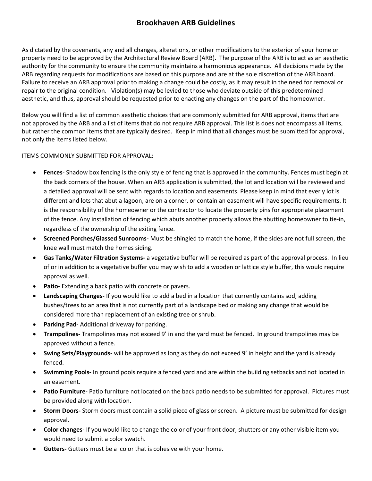# Brookhaven ARB Guidelines

As dictated by the covenants, any and all changes, alterations, or other modifications to the exterior of your home or property need to be approved by the Architectural Review Board (ARB). The purpose of the ARB is to act as an aesthetic authority for the community to ensure the community maintains a harmonious appearance. All decisions made by the ARB regarding requests for modifications are based on this purpose and are at the sole discretion of the ARB board. Failure to receive an ARB approval prior to making a change could be costly, as it may result in the need for removal or repair to the original condition. Violation(s) may be levied to those who deviate outside of this predetermined aesthetic, and thus, approval should be requested prior to enacting any changes on the part of the homeowner.

Below you will find a list of common aesthetic choices that are commonly submitted for ARB approval, items that are not approved by the ARB and a list of items that do not require ARB approval. This list is does not encompass all items, but rather the common items that are typically desired. Keep in mind that all changes must be submitted for approval, not only the items listed below.

ITEMS COMMONLY SUBMITTED FOR APPROVAL:

- Fences- Shadow box fencing is the only style of fencing that is approved in the community. Fences must begin at the back corners of the house. When an ARB application is submitted, the lot and location will be reviewed and a detailed approval will be sent with regards to location and easements. Please keep in mind that ever y lot is different and lots that abut a lagoon, are on a corner, or contain an easement will have specific requirements. It is the responsibility of the homeowner or the contractor to locate the property pins for appropriate placement of the fence. Any installation of fencing which abuts another property allows the abutting homeowner to tie-in, regardless of the ownership of the exiting fence.
- Screened Porches/Glassed Sunrooms- Must be shingled to match the home, if the sides are not full screen, the knee wall must match the homes siding.
- Gas Tanks/Water Filtration Systems- a vegetative buffer will be required as part of the approval process. In lieu of or in addition to a vegetative buffer you may wish to add a wooden or lattice style buffer, this would require approval as well.
- Patio- Extending a back patio with concrete or pavers.
- Landscaping Changes- If you would like to add a bed in a location that currently contains sod, adding bushes/trees to an area that is not currently part of a landscape bed or making any change that would be considered more than replacement of an existing tree or shrub.
- Parking Pad- Additional driveway for parking.
- Trampolines- Trampolines may not exceed 9' in and the yard must be fenced. In ground trampolines may be approved without a fence.
- Swing Sets/Playgrounds- will be approved as long as they do not exceed 9' in height and the yard is already fenced.
- Swimming Pools- In ground pools require a fenced yard and are within the building setbacks and not located in an easement.
- Patio Furniture- Patio furniture not located on the back patio needs to be submitted for approval. Pictures must be provided along with location.
- Storm Doors- Storm doors must contain a solid piece of glass or screen. A picture must be submitted for design approval.
- Color changes- If you would like to change the color of your front door, shutters or any other visible item you would need to submit a color swatch.
- Gutters- Gutters must be a color that is cohesive with your home.